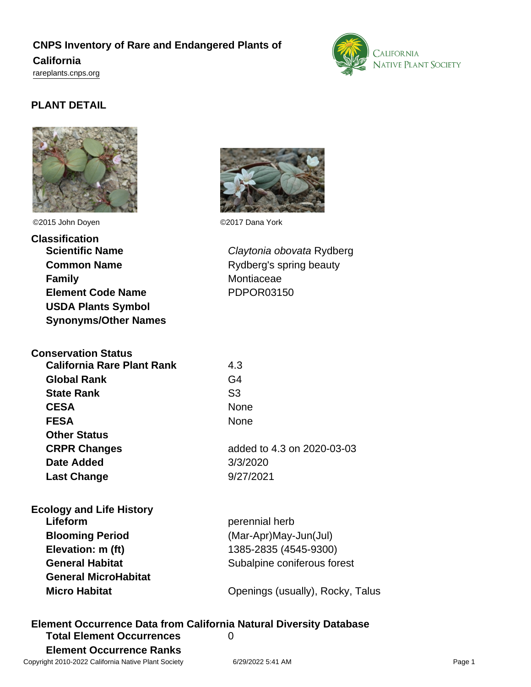# **CNPS Inventory of Rare and Endangered Plants of California** <rareplants.cnps.org>



# **PLANT DETAIL**



©2015 John Doyen ©2017 Dana York

**Classification Scientific Name** Claytonia obovata Rydberg **Common Name** Rydberg's spring beauty **Family** Montiaceae **Element Code Name** PDPOR03150 **USDA Plants Symbol Synonyms/Other Names**

| <b>Conservation Status</b>        |                            |
|-----------------------------------|----------------------------|
| <b>California Rare Plant Rank</b> | 4.3                        |
| <b>Global Rank</b>                | G4                         |
| <b>State Rank</b>                 | S3                         |
| <b>CESA</b>                       | None                       |
| <b>FESA</b>                       | <b>None</b>                |
| <b>Other Status</b>               |                            |
| <b>CRPR Changes</b>               | added to 4.3 on 2020-03-03 |
| Date Added                        | 3/3/2020                   |
| <b>Last Change</b>                | 9/27/2021                  |
|                                   |                            |

| <b>Ecology and Life History</b> |                                  |
|---------------------------------|----------------------------------|
| Lifeform                        | perennial herb                   |
| <b>Blooming Period</b>          | (Mar-Apr)May-Jun(Jul)            |
| Elevation: m (ft)               | 1385-2835 (4545-9300)            |
| <b>General Habitat</b>          | Subalpine coniferous forest      |
| <b>General MicroHabitat</b>     |                                  |
| <b>Micro Habitat</b>            | Openings (usually), Rocky, Talus |
|                                 |                                  |

**Element Occurrence Data from California Natural Diversity Database Total Element Occurrences** 0 **Element Occurrence Ranks**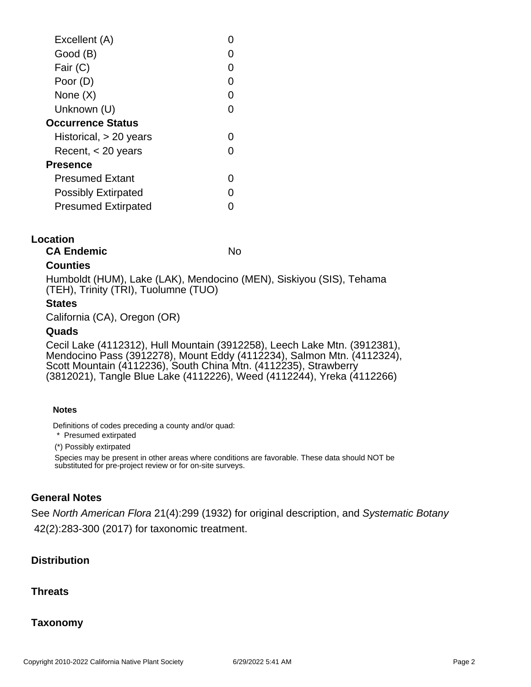| Excellent (A)              |   |
|----------------------------|---|
| Good (B)                   |   |
| Fair (C)                   | 0 |
| Poor (D)                   | O |
| None (X)                   | O |
| Unknown (U)                | 0 |
| <b>Occurrence Status</b>   |   |
| Historical, > 20 years     |   |
| Recent, $<$ 20 years       |   |
| Presence                   |   |
| <b>Presumed Extant</b>     |   |
| <b>Possibly Extirpated</b> |   |
| <b>Presumed Extirpated</b> |   |
|                            |   |

#### **Location**

**CA Endemic** No

# **Counties**

Humboldt (HUM), Lake (LAK), Mendocino (MEN), Siskiyou (SIS), Tehama (TEH), Trinity (TRI), Tuolumne (TUO)

# **States**

California (CA), Oregon (OR)

# **Quads**

Cecil Lake (4112312), Hull Mountain (3912258), Leech Lake Mtn. (3912381), Mendocino Pass (3912278), Mount Eddy (4112234), Salmon Mtn. (4112324), Scott Mountain (4112236), South China Mtn. (4112235), Strawberry (3812021), Tangle Blue Lake (4112226), Weed (4112244), Yreka (4112266)

#### **Notes**

Definitions of codes preceding a county and/or quad:

\* Presumed extirpated

(\*) Possibly extirpated

Species may be present in other areas where conditions are favorable. These data should NOT be substituted for pre-project review or for on-site surveys.

# **General Notes**

See North American Flora 21(4):299 (1932) for original description, and Systematic Botany 42(2):283-300 (2017) for taxonomic treatment.

# **Distribution**

# **Threats**

# **Taxonomy**